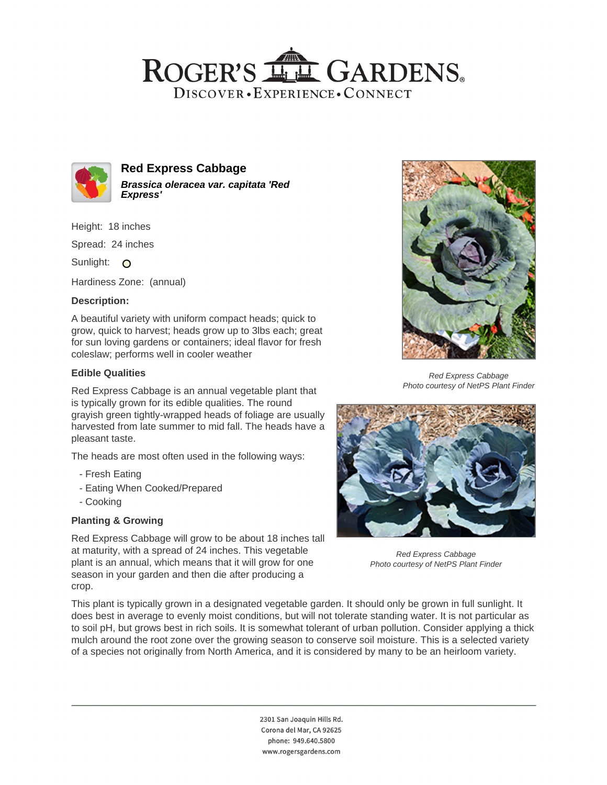# ROGER'S LL GARDENS. DISCOVER · EXPERIENCE · CONNECT



#### **Red Express Cabbage Brassica oleracea var. capitata 'Red Express'**

Height: 18 inches

Spread: 24 inches

Sunlight: O

Hardiness Zone: (annual)

#### **Description:**

A beautiful variety with uniform compact heads; quick to grow, quick to harvest; heads grow up to 3lbs each; great for sun loving gardens or containers; ideal flavor for fresh coleslaw; performs well in cooler weather

### **Edible Qualities**

Red Express Cabbage is an annual vegetable plant that is typically grown for its edible qualities. The round grayish green tightly-wrapped heads of foliage are usually harvested from late summer to mid fall. The heads have a pleasant taste.

The heads are most often used in the following ways:

- Fresh Eating
- Eating When Cooked/Prepared
- Cooking

## **Planting & Growing**

Red Express Cabbage will grow to be about 18 inches tall at maturity, with a spread of 24 inches. This vegetable plant is an annual, which means that it will grow for one season in your garden and then die after producing a crop.



Red Express Cabbage Photo courtesy of NetPS Plant Finder



Red Express Cabbage Photo courtesy of NetPS Plant Finder

This plant is typically grown in a designated vegetable garden. It should only be grown in full sunlight. It does best in average to evenly moist conditions, but will not tolerate standing water. It is not particular as to soil pH, but grows best in rich soils. It is somewhat tolerant of urban pollution. Consider applying a thick mulch around the root zone over the growing season to conserve soil moisture. This is a selected variety of a species not originally from North America, and it is considered by many to be an heirloom variety.

> 2301 San Joaquin Hills Rd. Corona del Mar, CA 92625 phone: 949.640.5800 www.rogersgardens.com